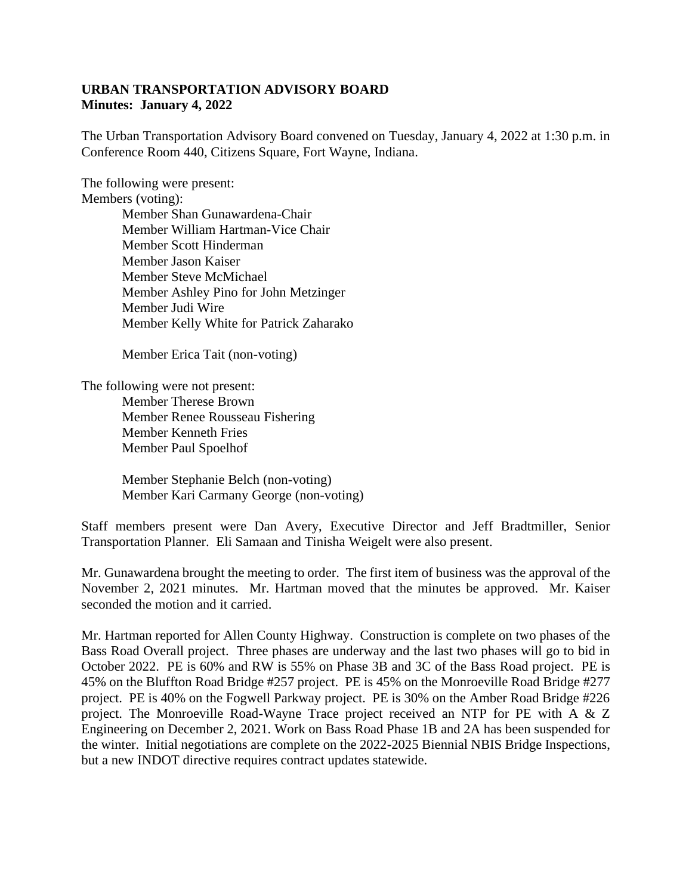## **URBAN TRANSPORTATION ADVISORY BOARD Minutes: January 4, 2022**

The Urban Transportation Advisory Board convened on Tuesday, January 4, 2022 at 1:30 p.m. in Conference Room 440, Citizens Square, Fort Wayne, Indiana.

The following were present: Members (voting): Member Shan Gunawardena-Chair Member William Hartman-Vice Chair Member Scott Hinderman Member Jason Kaiser Member Steve McMichael Member Ashley Pino for John Metzinger Member Judi Wire Member Kelly White for Patrick Zaharako

Member Erica Tait (non-voting)

The following were not present: Member Therese Brown Member Renee Rousseau Fishering Member Kenneth Fries Member Paul Spoelhof

> Member Stephanie Belch (non-voting) Member Kari Carmany George (non-voting)

Staff members present were Dan Avery, Executive Director and Jeff Bradtmiller, Senior Transportation Planner. Eli Samaan and Tinisha Weigelt were also present.

Mr. Gunawardena brought the meeting to order. The first item of business was the approval of the November 2, 2021 minutes. Mr. Hartman moved that the minutes be approved. Mr. Kaiser seconded the motion and it carried.

Mr. Hartman reported for Allen County Highway. Construction is complete on two phases of the Bass Road Overall project. Three phases are underway and the last two phases will go to bid in October 2022. PE is 60% and RW is 55% on Phase 3B and 3C of the Bass Road project. PE is 45% on the Bluffton Road Bridge #257 project. PE is 45% on the Monroeville Road Bridge #277 project. PE is 40% on the Fogwell Parkway project. PE is 30% on the Amber Road Bridge #226 project. The Monroeville Road-Wayne Trace project received an NTP for PE with A & Z Engineering on December 2, 2021. Work on Bass Road Phase 1B and 2A has been suspended for the winter. Initial negotiations are complete on the 2022-2025 Biennial NBIS Bridge Inspections, but a new INDOT directive requires contract updates statewide.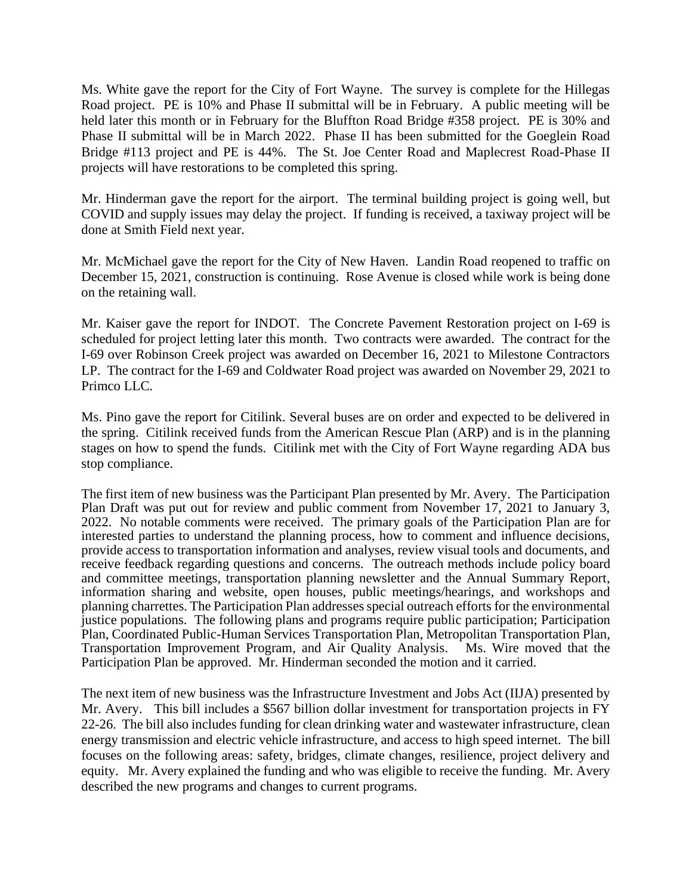Ms. White gave the report for the City of Fort Wayne. The survey is complete for the Hillegas Road project. PE is 10% and Phase II submittal will be in February. A public meeting will be held later this month or in February for the Bluffton Road Bridge #358 project. PE is 30% and Phase II submittal will be in March 2022. Phase II has been submitted for the Goeglein Road Bridge #113 project and PE is 44%. The St. Joe Center Road and Maplecrest Road-Phase II projects will have restorations to be completed this spring.

Mr. Hinderman gave the report for the airport. The terminal building project is going well, but COVID and supply issues may delay the project. If funding is received, a taxiway project will be done at Smith Field next year.

Mr. McMichael gave the report for the City of New Haven. Landin Road reopened to traffic on December 15, 2021, construction is continuing. Rose Avenue is closed while work is being done on the retaining wall.

Mr. Kaiser gave the report for INDOT. The Concrete Pavement Restoration project on I-69 is scheduled for project letting later this month. Two contracts were awarded. The contract for the I-69 over Robinson Creek project was awarded on December 16, 2021 to Milestone Contractors LP. The contract for the I-69 and Coldwater Road project was awarded on November 29, 2021 to Primco LLC.

Ms. Pino gave the report for Citilink. Several buses are on order and expected to be delivered in the spring. Citilink received funds from the American Rescue Plan (ARP) and is in the planning stages on how to spend the funds. Citilink met with the City of Fort Wayne regarding ADA bus stop compliance.

The first item of new business was the Participant Plan presented by Mr. Avery. The Participation Plan Draft was put out for review and public comment from November 17, 2021 to January 3, 2022. No notable comments were received. The primary goals of the Participation Plan are for interested parties to understand the planning process, how to comment and influence decisions, provide access to transportation information and analyses, review visual tools and documents, and receive feedback regarding questions and concerns. The outreach methods include policy board and committee meetings, transportation planning newsletter and the Annual Summary Report, information sharing and website, open houses, public meetings/hearings, and workshops and planning charrettes. The Participation Plan addresses special outreach efforts for the environmental justice populations. The following plans and programs require public participation; Participation Plan, Coordinated Public-Human Services Transportation Plan, Metropolitan Transportation Plan, Transportation Improvement Program, and Air Quality Analysis. Ms. Wire moved that the Participation Plan be approved. Mr. Hinderman seconded the motion and it carried.

The next item of new business was the Infrastructure Investment and Jobs Act (IIJA) presented by Mr. Avery. This bill includes a \$567 billion dollar investment for transportation projects in FY 22-26. The bill also includes funding for clean drinking water and wastewater infrastructure, clean energy transmission and electric vehicle infrastructure, and access to high speed internet. The bill focuses on the following areas: safety, bridges, climate changes, resilience, project delivery and equity. Mr. Avery explained the funding and who was eligible to receive the funding. Mr. Avery described the new programs and changes to current programs.